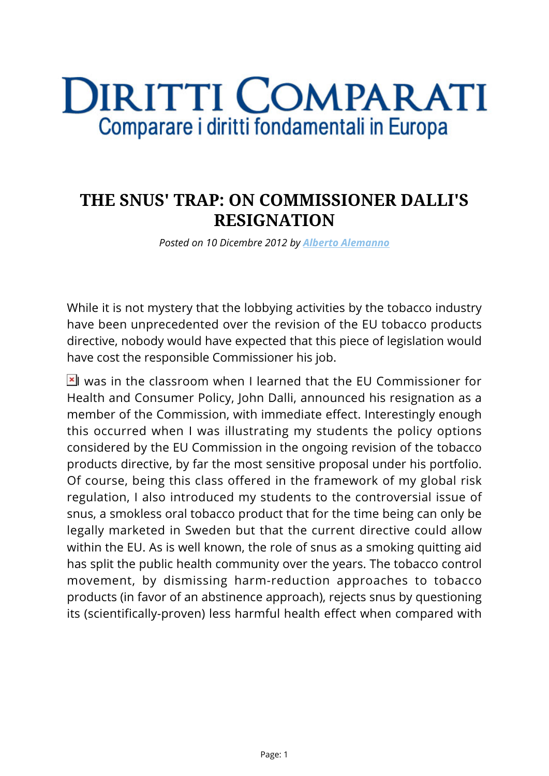## **DIRITTI COMPARATI** Comparare i diritti fondamentali in Europa

## **THE SNUS' TRAP: ON COMMISSIONER DALLI'S RESIGNATION**

*Posted on 10 Dicembre 2012 by [Alberto Alemanno](https://www.diritticomparati.it/autore/alberto-alemanno/)*

While it is not mystery that the lobbying activities by the tobacco industry have been unprecedented over the revision of the EU tobacco products directive, nobody would have expected that this piece of legislation would have cost the responsible Commissioner his job.

 $\mathbb{E}$  was in the classroom when I learned that the EU Commissioner for Health and Consumer Policy, John Dalli, announced his resignation as a member of the Commission, with immediate effect. Interestingly enough this occurred when I was illustrating my students the policy options considered by the EU Commission in the ongoing revision of the tobacco products directive, by far the most sensitive proposal under his portfolio. Of course, being this class offered in the framework of my global risk regulation, I also introduced my students to the controversial issue of snus, a smokless oral tobacco product that for the time being can only be legally marketed in Sweden but that the current directive could allow within the EU. As is well known, the role of snus as a smoking quitting aid has split the public health community over the years. The tobacco control movement, by dismissing harm-reduction approaches to tobacco products (in favor of an abstinence approach), rejects snus by questioning its (scientifically-proven) less harmful health effect when compared with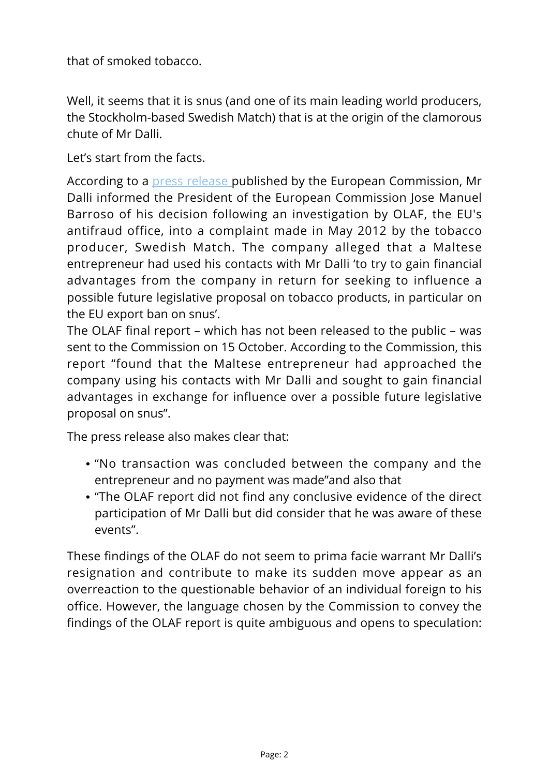that of smoked tobacco.

Well, it seems that it is snus (and one of its main leading world producers, the Stockholm-based Swedish Match) that is at the origin of the clamorous chute of Mr Dalli.

Let's start from the facts.

According to a [press release](http://europa.eu/rapid/press-release_MEMO-12-788_en.htm) published by the European Commission, Mr Dalli informed the President of the European Commission Jose Manuel Barroso of his decision following an investigation by OLAF, the EU's antifraud office, into a complaint made in May 2012 by the tobacco producer, Swedish Match. The company alleged that a Maltese entrepreneur had used his contacts with Mr Dalli 'to try to gain financial advantages from the company in return for seeking to influence a possible future legislative proposal on tobacco products, in particular on the EU export ban on snus'.

The OLAF final report – which has not been released to the public – was sent to the Commission on 15 October. According to the Commission, this report "found that the Maltese entrepreneur had approached the company using his contacts with Mr Dalli and sought to gain financial advantages in exchange for influence over a possible future legislative proposal on snus".

The press release also makes clear that:

- "No transaction was concluded between the company and the entrepreneur and no payment was made"and also that
- "The OLAF report did not find any conclusive evidence of the direct participation of Mr Dalli but did consider that he was aware of these events".

These findings of the OLAF do not seem to prima facie warrant Mr Dalli's resignation and contribute to make its sudden move appear as an overreaction to the questionable behavior of an individual foreign to his office. However, the language chosen by the Commission to convey the findings of the OLAF report is quite ambiguous and opens to speculation: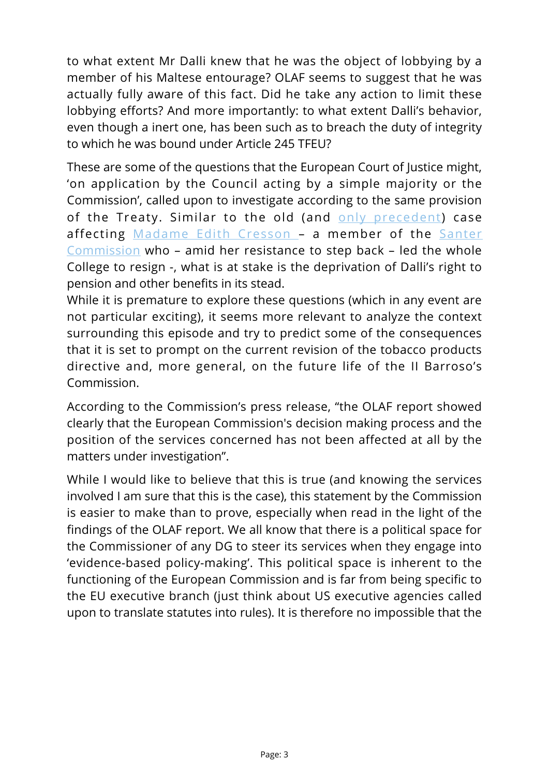to what extent Mr Dalli knew that he was the object of lobbying by a member of his Maltese entourage? OLAF seems to suggest that he was actually fully aware of this fact. Did he take any action to limit these lobbying efforts? And more importantly: to what extent Dalli's behavior, even though a inert one, has been such as to breach the duty of integrity to which he was bound under Article 245 TFEU?

These are some of the questions that the European Court of Justice might, 'on application by the Council acting by a simple majority or the Commission', called upon to investigate according to the same provision of the Treaty. Similar to the old (and [only precedent](http://curia.europa.eu/jcms/upload/docs/application/pdf/2009-02/cp060056en.pdf)) case affecting [Madame Edith Cresson –](http://en.wikipedia.org/wiki/%C3%89dith_Cresson) a member of the [Santer](http://en.wikipedia.org/wiki/Santer_Commission) [Commission](http://en.wikipedia.org/wiki/Santer_Commission) who – amid her resistance to step back – led the whole College to resign -, what is at stake is the deprivation of Dalli's right to pension and other benefits in its stead.

While it is premature to explore these questions (which in any event are not particular exciting), it seems more relevant to analyze the context surrounding this episode and try to predict some of the consequences that it is set to prompt on the current revision of the tobacco products directive and, more general, on the future life of the II Barroso's Commission.

According to the Commission's press release, "the OLAF report showed clearly that the European Commission's decision making process and the position of the services concerned has not been affected at all by the matters under investigation".

While I would like to believe that this is true (and knowing the services involved I am sure that this is the case), this statement by the Commission is easier to make than to prove, especially when read in the light of the findings of the OLAF report. We all know that there is a political space for the Commissioner of any DG to steer its services when they engage into 'evidence-based policy-making'. This political space is inherent to the functioning of the European Commission and is far from being specific to the EU executive branch (just think about US executive agencies called upon to translate statutes into rules). It is therefore no impossible that the